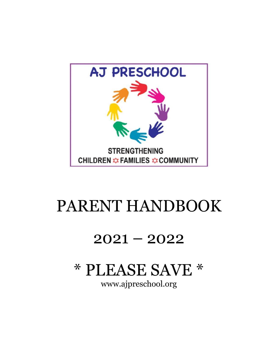

# PARENT HANDBOOK

## $2021 - 2022$

# \* PLEASE SAVE \*

www.ajpreschool.org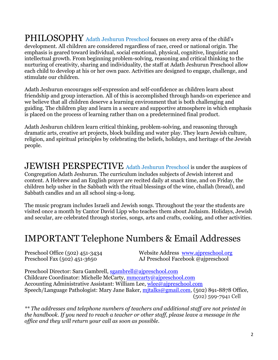PHILOSOPHY Adath Jeshurun Preschool focuses on every area of the child's development. All children are considered regardless of race, creed or national origin. The emphasis is geared toward individual, social emotional, physical, cognitive, linguistic and intellectual growth. From beginning problem-solving, reasoning and critical thinking to the nurturing of creativity, sharing and individuality, the staff at Adath Jeshurun Preschool allow each child to develop at his or her own pace. Activities are designed to engage, challenge, and stimulate our children.

Adath Jeshurun encourages self-expression and self-confidence as children learn about friendship and group interaction. All of this is accomplished through hands-on experience and we believe that all children deserve a learning environment that is both challenging and guiding. The children play and learn in a secure and supportive atmosphere in which emphasis is placed on the process of learning rather than on a predetermined final product.

Adath Jeshurun children learn critical thinking, problem-solving, and reasoning through dramatic arts, creative art projects, block building and water play. They learn Jewish culture, religion, and spiritual principles by celebrating the beliefs, holidays, and heritage of the Jewish people.

JEWISH PERSPECTIVE Adath Jeshurun Preschool is under the auspices of Congregation Adath Jeshurun. The curriculum includes subjects of Jewish interest and content. A Hebrew and an English prayer are recited daily at snack time, and on Friday, the children help usher in the Sabbath with the ritual blessings of the wine, challah (bread), and Sabbath candles and an all school sing-a-long.

The music program includes Israeli and Jewish songs. Throughout the year the students are visited once a month by Cantor David Lipp who teaches them about Judaism. Holidays, Jewish and secular, are celebrated through stories, songs, arts and crafts, cooking, and other activities.

#### IMPORTANT Telephone Numbers & Email Addresses

Preschool Office (502) 451-3434 Website Address [www.ajpreschool.org](http://www.ajpreschool.org/) Preschool Fax (502) 451-3650 AJ Preschool Facebook @ajpreschool

Preschool Director: Sara Gambrell, [sgambrell@ajpreschool.com](mailto:sgambrell@ajpreschool.com) Childcare Coordinator: Michelle McCarty, [mmccarty@ajpreschool.com](mailto:mmccarty@ajpreschool.com) Accounting Administrative Assistant: William Lee, [wlee@ajpreschool.com](mailto:wlee@ajpreschool.com) Speech/Language Pathologist: Mary Jane Baker, mitalks@gmail.com, (502) 891-8878 Office, (502) 599-7941 Cell

*\*\* The addresses and telephone numbers of teachers and additional staff are not printed in the handbook. If you need to reach a teacher or other staff, please leave a message in the office and they will return your call as soon as possible.*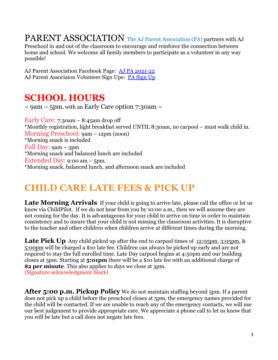PARENT ASSOCIATION The AJ Parent Association (PA) partners with AJ

Preschool in and out of the classroom to encourage and reinforce the connection between home and school. We welcome all family members to participate as a volunteer in any way possible!

AJ Parent Association Facebook Page: [AJ PA 2021-22](https://www.facebook.com/groups/141574201254580/) AJ Parent Associaion Volunteer Sign Ups: [PA Sign Up](https://adathjeshurun.wufoo.com/forms/z1xmw8308sr1v4/)

#### **SCHOOL HOURS**

 $\sim$  9am – 5pm, with an Early Care option 7:30am  $\sim$ 

Early Care: 7:30am – 8:45am drop off \*Monthly registration, light breakfast served UNTIL 8:30am, no carpool – must walk child in. Morning Preschool: 9am – 12pm (noon) \*Morning snack is included Full Day: 9am – 3pm \*Morning snack and balanced lunch are included Extended Day: 9:00 am – 5pm. \*Morning snack, balanced lunch, and afternoon snack are included

#### **CHILD CARE LATE FEES & PICK UP**

Late Morning Arrivals If your child is going to arrive late, please call the office or let us know via ChildPilot. If we do not hear from you by 10:00 a.m., then we will assume they are not coming for the day. It is advantageous for your child to arrive on time in order to maintain consistency and to insure that your child is not missing the classroom activities. It is disruptive to the teacher and other children when children arrive at different times during the morning.

**Late Pick Up** Any child picked up after the end to carpool times of 12:05pm, 3:05pm, & 5:00pm will be charged a \$10 late fee. Children can always be picked up early and are not required to stay the full enrolled time. Late Day carpool begins at 4:50pm and our building closes at 5pm. Starting at **5:01pm** there will be a \$10 late fee with an additional charge of **\$2 per minute**. This also applies to days we close at 3pm. (Signature acknowledgment block)

**After 5:00 p.m. Pickup Policy** We do not maintain staffing beyond 5pm. If a parent does not pick up a child before the preschool closes at 5pm, the emergency names provided for the child will be contacted. If we are unable to reach any of the emergency contacts, we will use our best judgement to provide appropriate care. We appreciate a phone call to let us know that you will be late but a call does not negate late fees.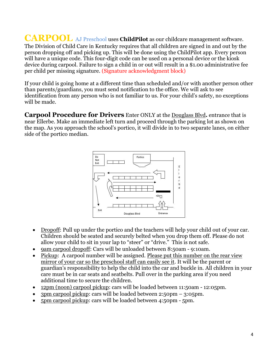**CARPOOL** AJ Preschool uses **ChildPilot** as our childcare management software. The Division of Child Care in Kentucky requires that all children are signed in and out by the person dropping off and picking up. This will be done using the ChildPilot app. Every person will have a unique code. This four-digit code can be used on a personal device or the kiosk device during carpool. Failure to sign a child in or out will result in a \$1.00 administrative fee per child per missing signature. (Signature acknowledgment block)

If your child is going home at a different time than scheduled and/or with another person other than parents/guardians, you must send notification to the office. We will ask to see identification from any person who is not familiar to us. For your child's safety, no exceptions will be made.

**Carpool Procedure for Drivers** Enter ONLY at the Douglass Blvd**.** entrance that is near Ellerbe. Make an immediate left turn and proceed through the parking lot as shown on the map. As you approach the school's portico, it will divide in to two separate lanes, on either side of the portico median.



- Dropoff: Pull up under the portico and the teachers will help your child out of your car. Children should be seated and securely belted when you drop them off. Please do not allow your child to sit in your lap to "steer" or "drive." This is not safe.
- 9am carpool dropoff: Cars will be unloaded between 8:50am 9:10am.
- Pickup: A carpool number will be assigned. Please put this number on the rear view mirror of your car so the preschool staff can easily see it. It will be the parent or guardian's responsibility to help the child into the car and buckle in. All children in your care must be in car seats and seatbelts. Pull over in the parking area if you need additional time to secure the children.
- 12pm (noon) carpool pickup: cars will be loaded between 11:50am 12:05pm.
- 3pm carpool pickup: cars will be loaded between 2:50pm 3:05pm.
- 5pm carpool pickup: cars will be loaded between 4:50pm 5pm.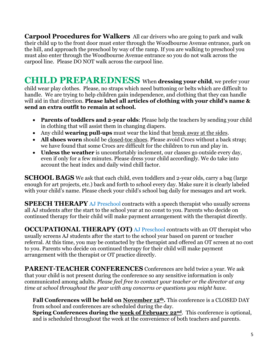**Carpool Procedures for Walkers** All car drivers who are going to park and walk their child up to the front door must enter through the Woodbourne Avenue entrance, park on the hill, and approach the preschool by way of the ramp. If you are walking to preschool you must also enter through the Woodbourne Avenue entrance so you do not walk across the carpool line. Please DO NOT walk across the carpool line.

**CHILD PREPAREDNESS** When **dressing your child**, we prefer your child wear play clothes. Please, no straps which need buttoning or belts which are difficult to handle. We are trying to help children gain independence, and clothing that they can handle will aid in that direction. **Please label all articles of clothing with your child's name & send an extra outfit to remain at school.**

- **Parents of toddlers and 2-year olds**: Please help the teachers by sending your child in clothing that will assist them in changing diapers.
- Any child **wearing pull-ups** must wear the kind that break away at the sides.
- **All shoes worn** should be closed-toe shoes. Please avoid Crocs without a back strap; we have found that some Crocs are difficult for the children to run and play in.
- **Unless the weather** is uncomfortably inclement, our classes go outside every day, even if only for a few minutes. Please dress your child accordingly. We do take into account the heat index and daily wind chill factor.

**SCHOOL BAGS** We ask that each child, even toddlers and 2-year olds, carry a bag (large enough for art projects, etc.) back and forth to school every day. Make sure it is clearly labeled with your child's name. Please check your child's school bag daily for messages and art work.

**SPEECH THERAPY** AJ Preschool contracts with a speech therapist who usually screens all AJ students after the start to the school year at no const to you. Parents who decide on continued therapy for their child will make payment arrangement with the therapist directly.

**OCCUPATIONAL THERAPY (OT)** AJ Preschool contracts with an OT therapist who usually screens AJ students after the start to the school year based on parent or teacher referral. At this time, you may be contacted by the therapist and offered an OT screen at no cost to you. Parents who decide on continued therapy for their child will make payment arrangement with the therapist or OT practice directly.

**PARENT-TEACHER CONFERENCES** Conferences are held twice a year. We ask that your child is not present during the conference so any sensitive information is only communicated among adults. *Please feel free to contact your teacher or the director at any time at school throughout the year with any concerns or questions you might have.*

**Fall Conferences will be held on November 12th.** This conference is a CLOSED DAY from school and conferences are scheduled during the day. **Spring Conferences during the week of February 22nd**. This conference is optional, and is scheduled throughout the week at the convenience of both teachers and parents.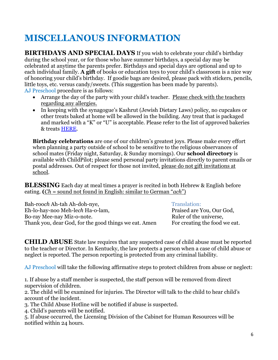### **MISCELLANOUS INFORMATION**

**BIRTHDAYS AND SPECIAL DAYS** If you wish to celebrate your child's birthday during the school year, or for those who have summer birthdays, a special day may be celebrated at anytime the parents prefer. Birthdays and special days are optional and up to each individual family. **A gift** of books or education toys to your child's classroom is a nice way of honoring your child's birthday. If goodie bags are desired, please pack with stickers, pencils, little toys, etc. versus candy/sweets. (This suggestion has been made by parents). AJ Preschool procedure is as follows:

- Arrange the day of the party with your child's teacher. Please check with the teachers regarding any allergies.
- In keeping with the synagogue's Kashrut (Jewish Dietary Laws) policy, no cupcakes or other treats baked at home will be allowed in the building. Any treat that is packaged and marked with a "K" or "U" is acceptable. Please refer to the list of approved bakeries & treats [HERE.](https://ef4a5a6f-daad-469f-9360-af7e68e47f64.filesusr.com/ugd/3a279a_6766676401094c4fb8bee19e6e22a745.pdf)

**Birthday celebrations** are one of our children's greatest joys. Please make every effort when planning a party outside of school to be sensitive to the religious observances of school mates (Friday night, Saturday, & Sunday mornings). Our **school directory** is available with ChildPilot; please send personal party invitations directly to parent emails or postal addresses. Out of respect for those not invited, please do not gift invitations at school.

**BLESSING** Each day at meal times a prayer is recited in both Hebrew & English before eating. **(***Ch =* sound not found in English: similar to German "*ach*")

Bah-rooch Ah-tah Ah-doh-nye, Translation: Eh-lo-hay-noo Meh-le*ch* Ha-o-lam, Praised are You, Our God, Bo-ray Mee-nay Miz-o-note. Ruler of the universe, Thank you, dear God, for the good things we eat. Amen For creating the food we eat.

**CHILD ABUSE** State law requires that any suspected case of child abuse must be reported to the teacher or Director. In Kentucky, the law protects a person when a case of child abuse or neglect is reported. The person reporting is protected from any criminal liability.

AJ Preschool will take the following affirmative steps to protect children from abuse or neglect:

1. If abuse by a staff member is suspected, the staff person will be removed from direct supervision of children.

2. The child will be examined for injuries. The Director will talk to the child to hear child's account of the incident.

3. The Child Abuse Hotline will be notified if abuse is suspected.

4. Child's parents will be notified.

5. If abuse occurred, the Licensing Division of the Cabinet for Human Resources will be notified within 24 hours.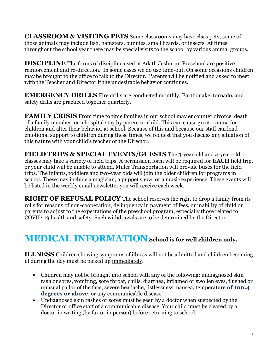**CLASSROOM & VISITING PETS** Some classrooms may have class pets; some of those animals may include fish, hamsters, bunnies, small lizards, or insects. At times throughout the school year there may be special visits to the school by various animal groups.

**DISCIPLINE** The forms of discipline used at Adath Jeshurun Preschool are positive reinforcement and re-direction. In some cases we do use time-out. On some occasions children may be brought to the office to talk to the Director. Parents will be notified and asked to meet with the Teacher and Director if the undesirable behavior continues.

**EMERGENCY DRILLS** Fire drills are conducted monthly; Earthquake, tornado, and safety drills are practiced together quarterly.

**FAMILY CRISIS** From time to time families in our school may encounter divorce, death of a family member, or a hospital stay by parent or child. This can cause great trauma for children and alter their behavior at school. Because of this and because our staff can lend emotional support to children during these times, we request that you discuss any situation of this nature with your child's teacher or the Director.

**FIELD TRIPS & SPECIAL EVENTS/GUESTS** The 3-year-old and 4-year-old classes may take a variety of field trips. A permission form will be required for **EACH** field trip, or your child will be unable to attend. Miller Transportation will provide buses for the field trips. The infants, toddlers and two-year olds will join the older children for programs in school. These may include a magician, a puppet show, or a music experience. These events will be listed in the weekly email newsletter you will receive each week.

**RIGHT OF REFUSAL POLICY** The school reserves the right to drop a family from its rolls for reasons of non-cooperation, delinquency in payment of fees, or inability of child or parents to adjust to the expectations of the preschool program, especially those related to COVID-19 health and safety. Such withdrawals are to be determined by the Director.

#### **MEDICAL INFORMATION School is for well children only.**

**ILLNESS** Children showing symptoms of illness will not be admitted and children becoming ill during the day must be picked up immediately.

- Children may not be brought into school with any of the following: undiagnosed skin rash or sores, vomiting, sore throat, chills, diarrhea, inflamed or swollen eyes, flushed or unusual pallor of the face; severe headache, listlessness, nausea, temperature **of 100.4 degrees or above**, or any communicable disease.
- Undiagnosed skin rashes or sores must be seen by a doctor when suspected by the Director or office staff of a communicable disease. Your child must be cleared by a doctor in writing (by fax or in person) before returning to school.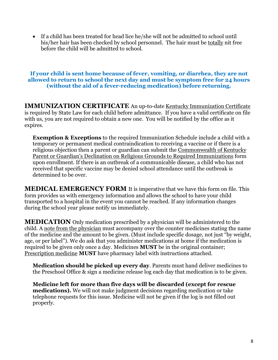• If a child has been treated for head lice he/she will not be admitted to school until his/her hair has been checked by school personnel. The hair must be totally nit free before the child will be admitted to school.

#### **If your child is sent home because of fever, vomiting, or diarrhea, they are not allowed to return to school the next day and must be symptom free for 24 hours (without the aid of a fever-reducing medication) before returning.**

**IMMUNIZATION CERTIFICATE** An up-to-date Kentucky Immunization Certificate is required by State Law for each child before admittance. If you have a valid certificate on file with us, you are not required to obtain a new one. You will be notified by the office as it expires.

**Exemption & Exceptions** to the required Immunization Schedule include a child with a temporary or permanent medical contraindication to receiving a vaccine or if there is a religious objection then a parent or guardian can submit the Commonwealth of Kentucky Parent or Guardian's Declination on Religious Grounds to Required Immunizations form upon enrollment. If there is an outbreak of a communicable disease, a child who has not received that specific vaccine may be denied school attendance until the outbreak is determined to be over.

**MEDICAL EMERGENCY FORM** It is imperative that we have this form on file. This form provides us with emergency information and allows the school to have your child transported to a hospital in the event you cannot be reached. If any information changes during the school year please notify us immediately.

**MEDICATION** Only medication prescribed by a physician will be administered to the child. A note from the physician must accompany over the counter medicines stating the name of the medicine and the amount to be given. (Must include specific dosage, not just "by weight, age, or per label"). We do ask that you administer medications at home if the medication is required to be given only once a day. Medicines **MUST** be in the original container; Prescription medicine **MUST** have pharmacy label with instructions attached.

**Medication should be picked up every day**. Parents must hand deliver medicines to the Preschool Office & sign a medicine release log each day that medication is to be given.

**Medicine left for more than five days will be discarded (except for rescue medications).** We will not make judgment decisions regarding medication or take telephone requests for this issue. Medicine will not be given if the log is not filled out properly.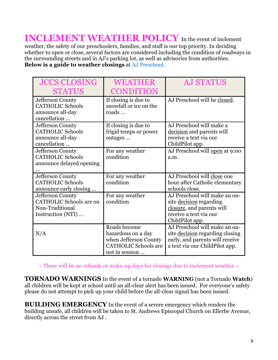**INCLEMENT WEATHER POLICY** In the event of inclement weather, the safety of our preschoolers, families, and staff is our top priority. In deciding whether to open or close, several factors are considered including the condition of roadways in the surrounding streets and in AJ's parking lot, as well as advisories from authorities. **Below is a guide to weather closings** at AJ Preschool.

| <b>JCCS CLOSING</b><br><b>STATUS</b>                                                       | WEATHER<br>CONDITION                                                                                         | <b>AJ STATUS</b>                                                                                                                             |
|--------------------------------------------------------------------------------------------|--------------------------------------------------------------------------------------------------------------|----------------------------------------------------------------------------------------------------------------------------------------------|
| Jefferson County<br><b>CATHOLIC Schools</b><br>announce all-day<br>cancellation            | If closing is due to<br>snowfall or ice on the<br>roads                                                      | AJ Preschool will be closed.                                                                                                                 |
| Jefferson County<br><b>CATHOLIC Schools</b><br>announce all-day<br>cancellation            | If closing is due to<br>frigid temps or power<br>outages                                                     | AJ Preschool will make a<br>decision and parents will<br>receive a text via our<br>ChildPilot app.                                           |
| Jefferson County<br><b>CATHOLIC Schools</b><br>announce delayed opening                    | For any weather<br>condition                                                                                 | AJ Preschool will open at 9:00<br>a.m.                                                                                                       |
| Jefferson County<br><b>CATHOLIC Schools</b><br>announce early closing                      | For any weather<br>condition                                                                                 | AJ Preschool will close one<br>hour after Catholic elementary<br>schools close.                                                              |
| Jefferson County<br><b>CATHOLIC Schools are on</b><br>Non-Traditional<br>Instruction (NTI) | For any weather<br>condition                                                                                 | AJ Preschool will make an on-<br>site decision regarding<br>closure, and parents will<br>receive a text via our<br>ChildPilot app.           |
| N/A                                                                                        | Roads become<br>hazardous on a day<br>when Jefferson County<br><b>CATHOLIC Schools are</b><br>not in session | AJ Preschool will make an on-<br>site <u>decision</u> regarding closing<br>early, and parents will receive<br>a text via our ChildPilot app. |

 $\sim$  There will be no refunds or make-up days for closings due to inclement weather  $\sim$ 

**TORNADO WARNINGS** In the event of a tornado **WARNING** (not a Tornado **Watch**) all children will be kept at school until an all-clear alert has been issued. For everyone's safety please do not attempt to pick up your child before the all-clear signal has been issued.

**BUILDING EMERGENCY** In the event of a severe emergency which renders the building unsafe, all children will be taken to St. Andrews Episcopal Church on Ellerbe Avenue, directly across the street from AJ .